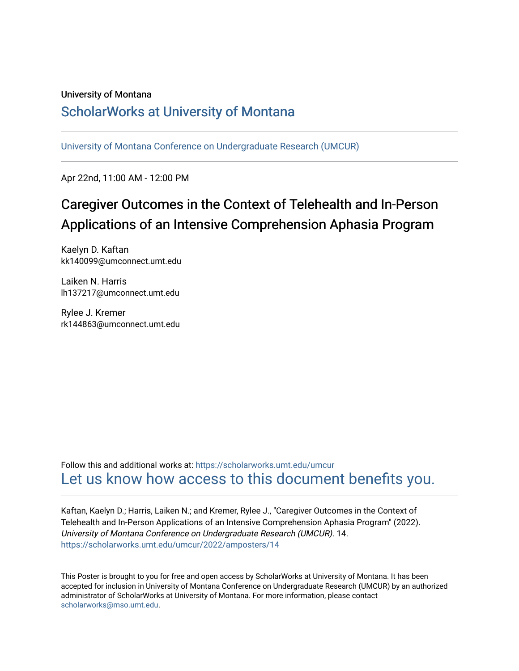### University of Montana

### [ScholarWorks at University of Montana](https://scholarworks.umt.edu/)

[University of Montana Conference on Undergraduate Research \(UMCUR\)](https://scholarworks.umt.edu/umcur)

Apr 22nd, 11:00 AM - 12:00 PM

### Caregiver Outcomes in the Context of Telehealth and In-Person Applications of an Intensive Comprehension Aphasia Program

Kaelyn D. Kaftan kk140099@umconnect.umt.edu

Laiken N. Harris lh137217@umconnect.umt.edu

Rylee J. Kremer rk144863@umconnect.umt.edu

Follow this and additional works at: [https://scholarworks.umt.edu/umcur](https://scholarworks.umt.edu/umcur?utm_source=scholarworks.umt.edu%2Fumcur%2F2022%2Famposters%2F14&utm_medium=PDF&utm_campaign=PDFCoverPages)  [Let us know how access to this document benefits you.](https://goo.gl/forms/s2rGfXOLzz71qgsB2) 

Kaftan, Kaelyn D.; Harris, Laiken N.; and Kremer, Rylee J., "Caregiver Outcomes in the Context of Telehealth and In-Person Applications of an Intensive Comprehension Aphasia Program" (2022). University of Montana Conference on Undergraduate Research (UMCUR). 14. [https://scholarworks.umt.edu/umcur/2022/amposters/14](https://scholarworks.umt.edu/umcur/2022/amposters/14?utm_source=scholarworks.umt.edu%2Fumcur%2F2022%2Famposters%2F14&utm_medium=PDF&utm_campaign=PDFCoverPages) 

This Poster is brought to you for free and open access by ScholarWorks at University of Montana. It has been accepted for inclusion in University of Montana Conference on Undergraduate Research (UMCUR) by an authorized administrator of ScholarWorks at University of Montana. For more information, please contact [scholarworks@mso.umt.edu.](mailto:scholarworks@mso.umt.edu)